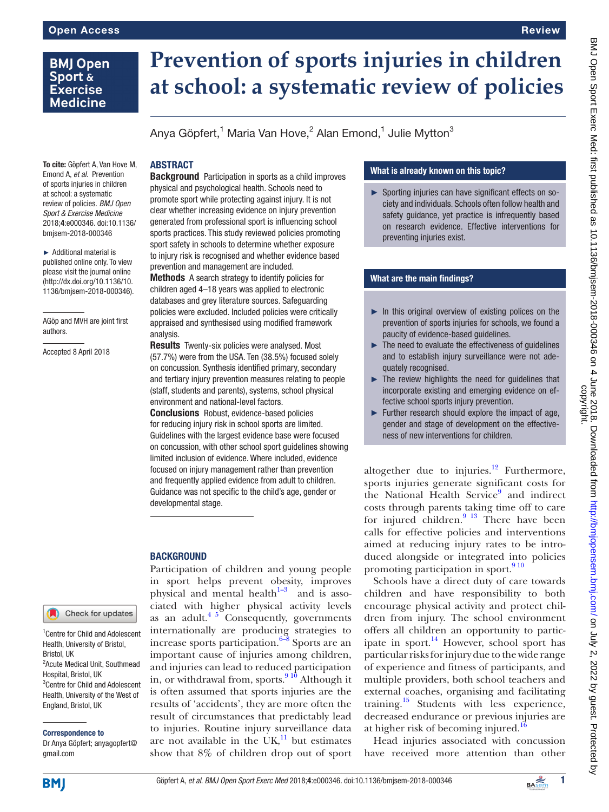# **BMJ Open** Sport & **Exercise Medicine**

# **Prevention of sports injuries in children at school: a systematic review of policies**

Anya Göpfert,<sup>1</sup> Maria Van Hove,<sup>2</sup> Alan Emond,<sup>1</sup> Julie Mytton<sup>3</sup>

# **ABSTRACT**

To cite: Göpfert A, Van Hove M, Emond A, *et al*. Prevention of sports injuries in children at school: a systematic review of policies. *BMJ Open Sport & Exercise Medicine* 2018;4:e000346. doi:10.1136/ bmjsem-2018-000346

► Additional material is published online only. To view please visit the journal online (http://dx.doi.org/10.1136/10. 1136/bmjsem-2018-000346).

AGöp and MVH are joint first authors.

Accepted 8 April 2018

# Check for updates

1 Centre for Child and Adolescent Health, University of Bristol, Bristol, UK <sup>2</sup> Acute Medical Unit, Southmead Hospital, Bristol, UK 3 Centre for Child and Adolescent Health, University of the West of England, Bristol, UK

Correspondence to

Dr Anya Göpfert; anyagopfert@ gmail.com

# **Background** Participation in sports as a child improves physical and psychological health. Schools need to promote sport while protecting against injury. It is not clear whether increasing evidence on injury prevention generated from professional sport is influencing school sports practices. This study reviewed policies promoting sport safety in schools to determine whether exposure to injury risk is recognised and whether evidence based prevention and management are included.

Methods A search strategy to identify policies for children aged 4–18 years was applied to electronic databases and grey literature sources. Safeguarding policies were excluded. Included policies were critically appraised and synthesised using modified framework analysis.

**Results** Twenty-six policies were analysed. Most (57.7%) were from the USA. Ten (38.5%) focused solely on concussion. Synthesis identified primary, secondary and tertiary injury prevention measures relating to people (staff, students and parents), systems, school physical environment and national-level factors.

Conclusions Robust, evidence-based policies for reducing injury risk in school sports are limited. Guidelines with the largest evidence base were focused on concussion, with other school sport guidelines showing limited inclusion of evidence. Where included, evidence focused on injury management rather than prevention and frequently applied evidence from adult to children. Guidance was not specific to the child's age, gender or developmental stage.

# **BACKGROUND**

Participation of children and young people in sport helps prevent obesity, improves physical and mental health $1-3$  and is associated with higher physical activity levels as an adult. $4\frac{5}{6}$  Consequently, governments internationally are producing strategies to increase sports participation. $6-8$  Sports are an important cause of injuries among children, and injuries can lead to reduced participation in, or withdrawal from, sports. $910$  Although it is often assumed that sports injuries are the results of 'accidents', they are more often the result of circumstances that predictably lead to injuries. Routine injury surveillance data are not available in the  $UK<sup>11</sup>$  $UK<sup>11</sup>$  $UK<sup>11</sup>$  but estimates show that 8% of children drop out of sport

# What is already known on this topic?

► Sporting injuries can have significant effects on society and individuals. Schools often follow health and safety guidance, yet practice is infrequently based on research evidence. Effective interventions for preventing injuries exist.

# What are the main findings?

- $\blacktriangleright$  In this original overview of existing polices on the prevention of sports injuries for schools, we found a paucity of evidence-based guidelines.
- ► The need to evaluate the effectiveness of guidelines and to establish injury surveillance were not adequately recognised.
- $\blacktriangleright$  The review highlights the need for guidelines that incorporate existing and emerging evidence on effective school sports injury prevention.
- ► Further research should explore the impact of age, gender and stage of development on the effectiveness of new interventions for children.

altogether due to injuries.<sup>12</sup> Furthermore, sports injuries generate significant costs for the National Health Service<sup>9</sup> and indirect costs through parents taking time off to care for injured children. $9^{13}$  There have been calls for effective policies and interventions aimed at reducing injury rates to be introduced alongside or integrated into policies promoting participation in sport. $910$ 

Schools have a direct duty of care towards children and have responsibility to both encourage physical activity and protect children from injury. The school environment offers all children an opportunity to participate in sport. $^{14}$  $^{14}$  $^{14}$  However, school sport has particular risks for injury due to the wide range of experience and fitness of participants, and multiple providers, both school teachers and external coaches, organising and facilitating training.<sup>15</sup> Students with less experience, decreased endurance or previous injuries are at higher risk of becoming injured.<sup>[16](#page-6-8)</sup>

Head injuries associated with concussion have received more attention than other

**BMJ** 

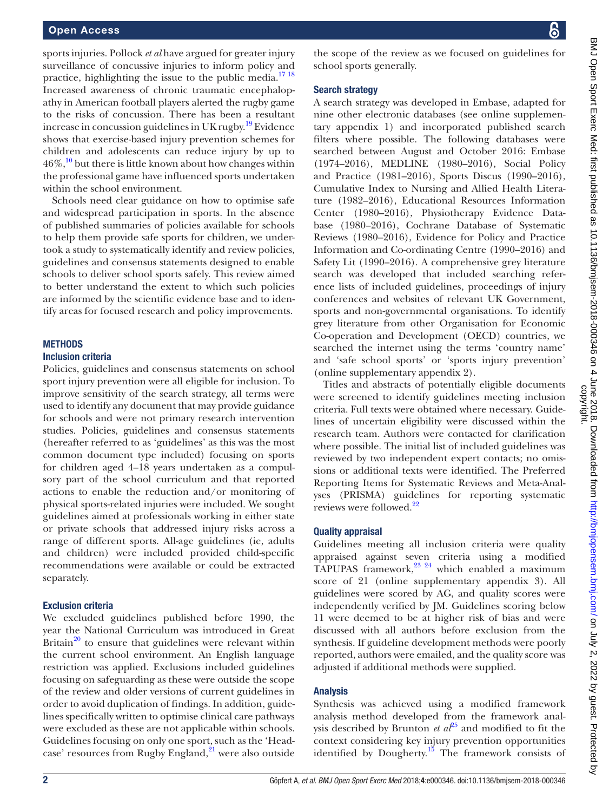sports injuries. Pollock *et al* have argued for greater injury surveillance of concussive injuries to inform policy and practice, highlighting the issue to the public media.<sup>17 18</sup> Increased awareness of chronic traumatic encephalopathy in American football players alerted the rugby game to the risks of concussion. There has been a resultant increase in concussion guidelines in UK rugby.<sup>19</sup> Evidence shows that exercise-based injury prevention schemes for children and adolescents can reduce injury by up to  $46\%,^{10}$  but there is little known about how changes within the professional game have influenced sports undertaken within the school environment.

Schools need clear guidance on how to optimise safe and widespread participation in sports. In the absence of published summaries of policies available for schools to help them provide safe sports for children, we undertook a study to systematically identify and review policies, guidelines and consensus statements designed to enable schools to deliver school sports safely. This review aimed to better understand the extent to which such policies are informed by the scientific evidence base and to identify areas for focused research and policy improvements.

## **METHODS**

## Inclusion criteria

Policies, guidelines and consensus statements on school sport injury prevention were all eligible for inclusion. To improve sensitivity of the search strategy, all terms were used to identify any document that may provide guidance for schools and were not primary research intervention studies. Policies, guidelines and consensus statements (hereafter referred to as 'guidelines' as this was the most common document type included) focusing on sports for children aged 4–18 years undertaken as a compulsory part of the school curriculum and that reported actions to enable the reduction and/or monitoring of physical sports-related injuries were included. We sought guidelines aimed at professionals working in either state or private schools that addressed injury risks across a range of different sports. All-age guidelines (ie, adults and children) were included provided child-specific recommendations were available or could be extracted separately.

#### Exclusion criteria

We excluded guidelines published before 1990, the year the National Curriculum was introduced in Great Britain $^{20}$  to ensure that guidelines were relevant within the current school environment. An English language restriction was applied. Exclusions included guidelines focusing on safeguarding as these were outside the scope of the review and older versions of current guidelines in order to avoid duplication of findings. In addition, guidelines specifically written to optimise clinical care pathways were excluded as these are not applicable within schools. Guidelines focusing on only one sport, such as the 'Headcase' resources from Rugby England, $21$  were also outside

the scope of the review as we focused on guidelines for school sports generally.

# Search strategy

A search strategy was developed in Embase, adapted for nine other electronic databases (see [online supplemen](https://dx.doi.org/10.1136/bmjsem-2018-000346)[tary appendix 1](https://dx.doi.org/10.1136/bmjsem-2018-000346)) and incorporated published search filters where possible. The following databases were searched between August and October 2016: Embase (1974–2016), MEDLINE (1980–2016), Social Policy and Practice (1981–2016), Sports Discus (1990–2016), Cumulative Index to Nursing and Allied Health Literature (1982–2016), Educational Resources Information Center (1980–2016), Physiotherapy Evidence Database (1980–2016), Cochrane Database of Systematic Reviews (1980–2016), Evidence for Policy and Practice Information and Co-ordinating Centre (1990–2016) and Safety Lit (1990–2016). A comprehensive grey literature search was developed that included searching reference lists of included guidelines, proceedings of injury conferences and websites of relevant UK Government, sports and non-governmental organisations. To identify grey literature from other Organisation for Economic Co-operation and Development (OECD) countries, we searched the internet using the terms 'country name' and 'safe school sports' or 'sports injury prevention' [\(online supplementary appendix 2](https://dx.doi.org/10.1136/bmjsem-2018-000346)).

Titles and abstracts of potentially eligible documents were screened to identify guidelines meeting inclusion criteria. Full texts were obtained where necessary. Guidelines of uncertain eligibility were discussed within the research team. Authors were contacted for clarification where possible. The initial list of included guidelines was reviewed by two independent expert contacts; no omissions or additional texts were identified. The Preferred Reporting Items for Systematic Reviews and Meta-Analyses (PRISMA) guidelines for reporting systematic reviews were followed.<sup>[22](#page-6-14)</sup>

#### Quality appraisal

Guidelines meeting all inclusion criteria were quality appraised against seven criteria using a modified TAPUPAS framework, $23^{24}$  which enabled a maximum score of 21 [\(online supplementary appendix 3](https://dx.doi.org/10.1136/bmjsem-2018-000346)). All guidelines were scored by AG, and quality scores were independently verified by JM. Guidelines scoring below 11 were deemed to be at higher risk of bias and were discussed with all authors before exclusion from the synthesis. If guideline development methods were poorly reported, authors were emailed, and the quality score was adjusted if additional methods were supplied.

## Analysis

Synthesis was achieved using a modified framework analysis method developed from the framework analysis described by Brunton  $et \t a t^{25}$  and modified to fit the context considering key injury prevention opportunities identified by Dougherty.<sup>[15](#page-6-7)</sup> The framework consists of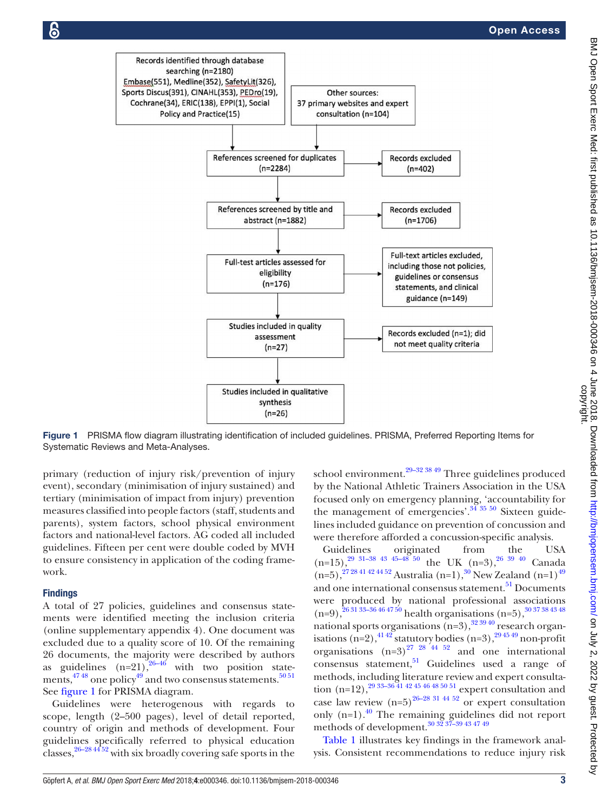

Figure 1 PRISMA flow diagram illustrating identification of included guidelines. PRISMA, Preferred Reporting Items for Systematic Reviews and Meta-Analyses.

primary (reduction of injury risk/prevention of injury event), secondary (minimisation of injury sustained) and tertiary (minimisation of impact from injury) prevention measures classified into people factors (staff, students and parents), system factors, school physical environment factors and national-level factors. AG coded all included guidelines. Fifteen per cent were double coded by MVH to ensure consistency in application of the coding framework.

# Findings

A total of 27 policies, guidelines and consensus statements were identified meeting the inclusion criteria [\(online supplementary appendix 4](https://dx.doi.org/10.1136/bmjsem-2018-000346)). One document was excluded due to a quality score of 10. Of the remaining 26 documents, the majority were described by authors as guidelines  $(n=21)$ ,  $26-46$  with two position statements, $4748$  one policy $49$  and two consensus statements.<sup>50 51</sup> See [figure](#page-2-0) 1 for PRISMA diagram.

Guidelines were heterogenous with regards to scope, length (2–500 pages), level of detail reported, country of origin and methods of development. Four guidelines specifically referred to physical education classes,  $26-28.4452$  with six broadly covering safe sports in the

<span id="page-2-0"></span>school environment.<sup>29–32</sup> <sup>38 49</sup> Three guidelines produced by the National Athletic Trainers Association in the USA focused only on emergency planning, 'accountability for the management of emergencies'.  $3\frac{3}{4}$   $35\frac{50}{8}$  Sixteen guidelines included guidance on prevention of concussion and were therefore afforded a concussion-specific analysis.

Guidelines originated from the USA  $(n=15)$ ,<sup>29 31–38 43 45–48 50</sup> the UK  $(n=3)$ ,<sup>26 39 40</sup> Canada  $(n=5)$ ,<sup>[27 28 41 42 44 52](#page-7-5)</sup> Australia (n=1),<sup>30</sup> New Zealand (n=1)<sup>49</sup> and one international consensus statement.<sup>51</sup> Documents were produced by national professional associations  $(n=9)$ ,  $^{26\,31\,33-36\,46\,47\,50}$  health organisations  $(n=5)$ ,  $^{30\,37\,38\,43\,48}$ national sports organisations  $(n=3)$ ,  $323940$  research organisations  $(n=2)$ ,  $\frac{4142}{3}$  statutory bodies  $(n=3)$ ,  $\frac{294549}{3}$  non-profit organisations  $(n=3)^{27}$   $28^{244}$   $52^{244}$  and one international consensus statement, $51$  Guidelines used a range of methods, including literature review and expert consultation  $(n=12)$ ,  $^{29\,33-36\,41\,42\,45\,46\,48\,50\,51}$  expert consultation and case law review  $(n=5)^{26-28}$  31 44 52 or expert consultation only  $(n=1)$ .<sup>[40](#page-7-10)</sup> The remaining guidelines did not report methods of development.<sup>30</sup> <sup>32</sup> <sup>37</sup>-<sup>39</sup> <sup>43</sup> <sup>47</sup> <sup>49</sup>

[Table](#page-3-0) 1 illustrates key findings in the framework analysis. Consistent recommendations to reduce injury risk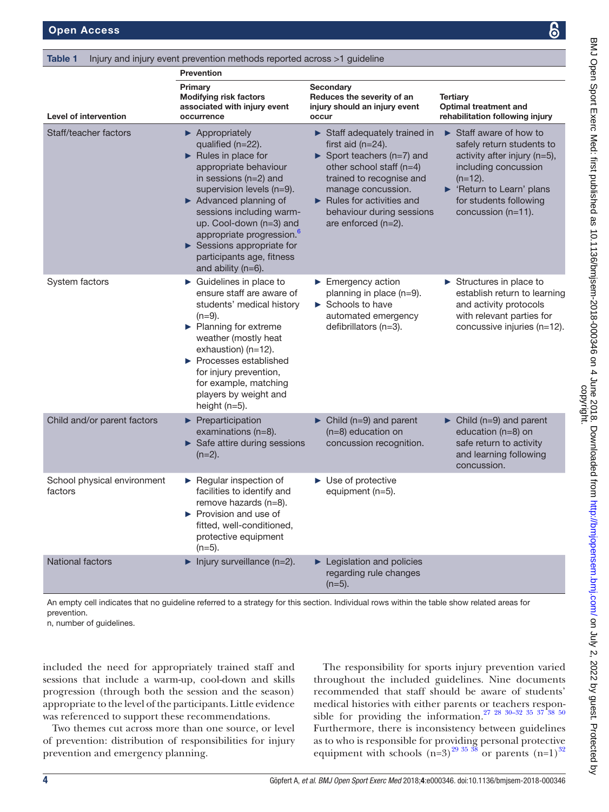| <b>Level of intervention</b>           | Primary<br><b>Modifying risk factors</b><br>associated with injury event<br>occurrence                                                                                                                                                                                                                                                                                                       | <b>Secondary</b><br>Reduces the severity of an<br>injury should an injury event<br>occur                                                                                                                                                                                                    | <b>Tertiary</b><br><b>Optimal treatment and</b><br>rehabilitation following injury                                                                                                                                     |
|----------------------------------------|----------------------------------------------------------------------------------------------------------------------------------------------------------------------------------------------------------------------------------------------------------------------------------------------------------------------------------------------------------------------------------------------|---------------------------------------------------------------------------------------------------------------------------------------------------------------------------------------------------------------------------------------------------------------------------------------------|------------------------------------------------------------------------------------------------------------------------------------------------------------------------------------------------------------------------|
| Staff/teacher factors                  | Appropriately<br>qualified $(n=22)$ .<br>$\blacktriangleright$ Rules in place for<br>appropriate behaviour<br>in sessions ( $n=2$ ) and<br>supervision levels (n=9).<br>Advanced planning of<br>sessions including warm-<br>up. Cool-down (n=3) and<br>appropriate progression. <sup>6</sup><br>$\triangleright$ Sessions appropriate for<br>participants age, fitness<br>and ability (n=6). | $\triangleright$ Staff adequately trained in<br>first aid $(n=24)$ .<br>Sport teachers ( $n=7$ ) and<br>other school staff (n=4)<br>trained to recognise and<br>manage concussion.<br>$\blacktriangleright$ Rules for activities and<br>behaviour during sessions<br>are enforced $(n=2)$ . | $\triangleright$ Staff aware of how to<br>safely return students to<br>activity after injury (n=5),<br>including concussion<br>$(n=12)$ .<br>Return to Learn' plans<br>for students following<br>concussion $(n=11)$ . |
| System factors                         | $\blacktriangleright$ Guidelines in place to<br>ensure staff are aware of<br>students' medical history<br>$(n=9)$ .<br>$\blacktriangleright$ Planning for extreme<br>weather (mostly heat<br>exhaustion) $(n=12)$ .<br>$\blacktriangleright$ Processes established<br>for injury prevention,<br>for example, matching<br>players by weight and<br>height (n=5).                              | $\blacktriangleright$ Emergency action<br>planning in place (n=9).<br>$\triangleright$ Schools to have<br>automated emergency<br>defibrillators (n=3).                                                                                                                                      | $\triangleright$ Structures in place to<br>establish return to learning<br>and activity protocols<br>with relevant parties for<br>concussive injuries (n=12).                                                          |
| Child and/or parent factors            | $\blacktriangleright$ Preparticipation<br>examinations $(n=8)$ .<br>$\triangleright$ Safe attire during sessions<br>$(n=2)$ .                                                                                                                                                                                                                                                                | $\triangleright$ Child (n=9) and parent<br>(n=8) education on<br>concussion recognition.                                                                                                                                                                                                    | $\triangleright$ Child (n=9) and parent<br>education ( $n=8$ ) on<br>safe return to activity<br>and learning following<br>concussion.                                                                                  |
| School physical environment<br>factors | $\blacktriangleright$ Regular inspection of<br>facilities to identify and<br>remove hazards (n=8).<br>$\blacktriangleright$ Provision and use of<br>fitted, well-conditioned,<br>protective equipment<br>$(n=5)$ .                                                                                                                                                                           | $\blacktriangleright$ Use of protective<br>equipment (n=5).                                                                                                                                                                                                                                 |                                                                                                                                                                                                                        |
| National factors                       | $\blacktriangleright$ Injury surveillance (n=2).                                                                                                                                                                                                                                                                                                                                             | Legislation and policies<br>regarding rule changes<br>$(n=5)$ .                                                                                                                                                                                                                             |                                                                                                                                                                                                                        |

<span id="page-3-0"></span>**Table 1** Injury and injury event prevention methods reported across >1 guideline

Prevention

An empty cell indicates that no guideline referred to a strategy for this section. Individual rows within the table show related areas for prevention.

n, number of guidelines.

included the need for appropriately trained staff and sessions that include a warm-up, cool-down and skills progression (through both the session and the season) appropriate to the level of the participants. Little evidence was referenced to support these recommendations.

Two themes cut across more than one source, or level of prevention: distribution of responsibilities for injury prevention and emergency planning.

The responsibility for sports injury prevention varied throughout the included guidelines. Nine documents recommended that staff should be aware of students' medical histories with either parents or teachers responsible for providing the information.<sup>27</sup>  $^{28}$   $^{30-32}$   $^{35}$   $^{37}$   $^{38}$   $^{50}$ Furthermore, there is inconsistency between guidelines as to who is responsible for providing personal protective equipment with schools  $(n=3)^{29}$   $^{35}$   $^{38}$  or parents  $(n=1)^{32}$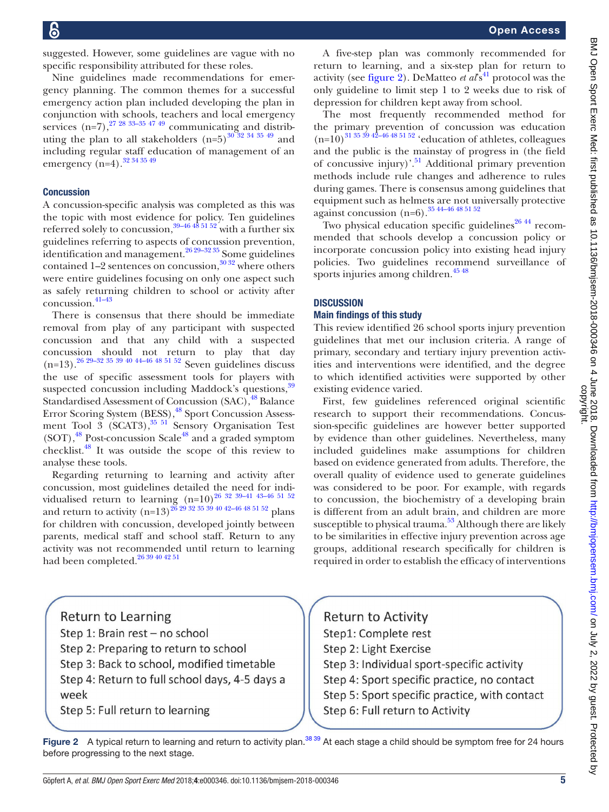suggested. However, some guidelines are vague with no specific responsibility attributed for these roles.

Nine guidelines made recommendations for emergency planning. The common themes for a successful emergency action plan included developing the plan in conjunction with schools, teachers and local emergency services  $(n=7)$ , <sup>27 28 33–35 47 49</sup> communicating and distributing the plan to all stakeholders  $(n=5)^{30\,32\,34\,35\,49}$  and including regular staff education of management of an emergency (n=4).  $32\frac{34\frac{35\frac{49}{2}}{2}}{2}$ 

### Concussion

A concussion-specific analysis was completed as this was the topic with most evidence for policy. Ten guidelines referred solely to concussion[,39–46 48 51 52](#page-7-11) with a further six guidelines referring to aspects of concussion prevention, identification and management.<sup>26 29-32 35</sup> Some guidelines contained  $1-2$  sentences on concussion,  $30\,32$  where others were entire guidelines focusing on only one aspect such as safely returning children to school or activity after concussion.[41–43](#page-7-9)

There is consensus that there should be immediate removal from play of any participant with suspected concussion and that any child with a suspected concussion should not return to play that day  $(n=13)$ .<sup>[26 29–32 35 39 40 44–46 48 51 52](#page-6-17)</sup> Seven guidelines discuss the use of specific assessment tools for players with suspected concussion including Maddock's questions,<sup>[39](#page-7-11)</sup> Standardised Assessment of Concussion  $(SAC)$ ,  $48$  Balance Error Scoring System (BESS), <sup>[48](#page-7-12)</sup> Sport Concussion Assessment Tool  $3$  (SCAT3),  $3^{5}$  Sensory Organisation Test (SOT),<sup>[48](#page-7-12)</sup> Post-concussion Scale<sup>48</sup> and a graded symptom checklist[.48](#page-7-12) It was outside the scope of this review to analyse these tools.

Regarding returning to learning and activity after concussion, most guidelines detailed the need for individualised return to learning  $(n=10)^{26}$  32 39-41 43-46 51 52 and return to activity  $(n=13)^{26}$   $29\overline{\smash)39}$   $32\overline{\smash)35}$   $39\overline{\smash)40}$   $42-46\overline{\smash)48}$   $51\overline{\smash)52}$  plans for children with concussion, developed jointly between parents, medical staff and school staff. Return to any activity was not recommended until return to learning had been completed.<sup>[26 39 40 42 51](#page-6-17)</sup>

**Return to Learning** Step 1: Brain rest - no school Step 2: Preparing to return to school Step 3: Back to school, modified timetable Step 4: Return to full school days, 4-5 days a week Step 5: Full return to learning

A five-step plan was commonly recommended for return to learning, and a six-step plan for return to activity (see [figure](#page-4-0) 2). DeMatteo *et al*<sup>s41</sup> protocol was the only guideline to limit step 1 to 2 weeks due to risk of depression for children kept away from school.

The most frequently recommended method for the primary prevention of concussion was education  $(n=10)^{31\,35\,39\,42-46\,48\,51\,52}$  'education of athletes, colleagues and the public is the mainstay of progress in (the field of concussive injury)'.[51](#page-7-7) Additional primary prevention methods include rule changes and adherence to rules during games. There is consensus among guidelines that equipment such as helmets are not universally protective against concussion (n=6)[.35 44–46 48 51 52](#page-7-13)

Two physical education specific guidelines<sup>26 44</sup> recommended that schools develop a concussion policy or incorporate concussion policy into existing head injury policies. Two guidelines recommend surveillance of sports injuries among children.<sup>[45 48](#page-7-15)</sup>

### **DISCUSSION**

#### Main findings of this study

This review identified 26 school sports injury prevention guidelines that met our inclusion criteria. A range of primary, secondary and tertiary injury prevention activities and interventions were identified, and the degree to which identified activities were supported by other existing evidence varied.

First, few guidelines referenced original scientific research to support their recommendations. Concussion-specific guidelines are however better supported by evidence than other guidelines. Nevertheless, many included guidelines make assumptions for children based on evidence generated from adults. Therefore, the overall quality of evidence used to generate guidelines was considered to be poor. For example, with regards to concussion, the biochemistry of a developing brain is different from an adult brain, and children are more susceptible to physical trauma.<sup>53</sup> Although there are likely to be similarities in effective injury prevention across age groups, additional research specifically for children is required in order to establish the efficacy of interventions

**Return to Activity** Step1: Complete rest Step 2: Light Exercise Step 3: Individual sport-specific activity Step 4: Sport specific practice, no contact Step 5: Sport specific practice, with contact Step 6: Full return to Activity

<span id="page-4-0"></span>Figure 2 A typical return to learning and return to activity plan.<sup>38 39</sup> At each stage a child should be symptom free for 24 hours before progressing to the next stage.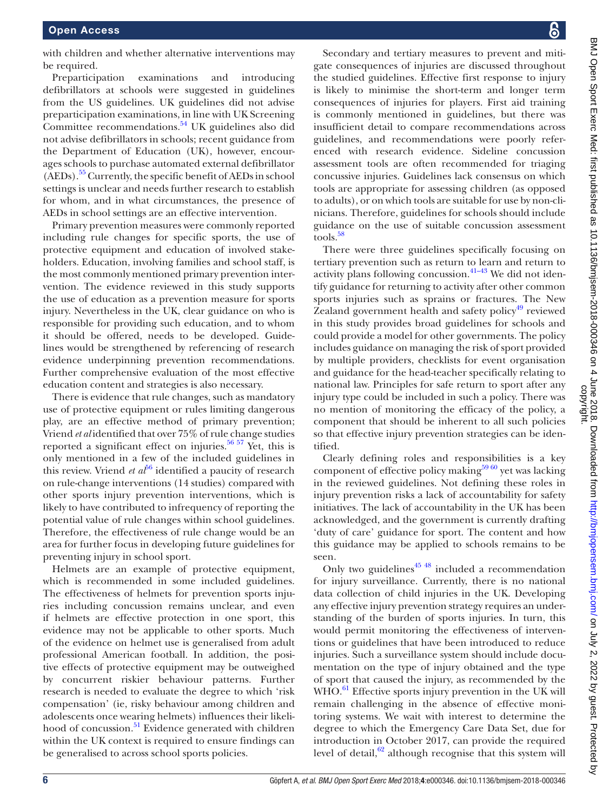with children and whether alternative interventions may be required.

Preparticipation examinations and introducing defibrillators at schools were suggested in guidelines from the US guidelines. UK guidelines did not advise preparticipation examinations, in line with UK Screening Committee recommendations.<sup>54</sup> UK guidelines also did not advise defibrillators in schools; recent guidance from the Department of Education (UK), however, encourages schools to purchase automated external defibrillator  $(AEDs).<sup>55</sup> Currently, the specific benefit of AEDs in school$ settings is unclear and needs further research to establish for whom, and in what circumstances, the presence of AEDs in school settings are an effective intervention.

Primary prevention measures were commonly reported including rule changes for specific sports, the use of protective equipment and education of involved stakeholders. Education, involving families and school staff, is the most commonly mentioned primary prevention intervention. The evidence reviewed in this study supports the use of education as a prevention measure for sports injury. Nevertheless in the UK, clear guidance on who is responsible for providing such education, and to whom it should be offered, needs to be developed. Guidelines would be strengthened by referencing of research evidence underpinning prevention recommendations. Further comprehensive evaluation of the most effective education content and strategies is also necessary.

There is evidence that rule changes, such as mandatory use of protective equipment or rules limiting dangerous play, are an effective method of primary prevention; Vriend *et al* identified that over 75% of rule change studies reported a significant effect on injuries.<sup>56 57</sup> Yet, this is only mentioned in a few of the included guidelines in this review. Vriend *et al*<sup>[56](#page-7-20)</sup> identified a paucity of research on rule-change interventions (14 studies) compared with other sports injury prevention interventions, which is likely to have contributed to infrequency of reporting the potential value of rule changes within school guidelines. Therefore, the effectiveness of rule change would be an area for further focus in developing future guidelines for preventing injury in school sport.

Helmets are an example of protective equipment, which is recommended in some included guidelines. The effectiveness of helmets for prevention sports injuries including concussion remains unclear, and even if helmets are effective protection in one sport, this evidence may not be applicable to other sports. Much of the evidence on helmet use is generalised from adult professional American football. In addition, the positive effects of protective equipment may be outweighed by concurrent riskier behaviour patterns. Further research is needed to evaluate the degree to which 'risk compensation' (ie, risky behaviour among children and adolescents once wearing helmets) influences their likelihood of concussion. $51$  Evidence generated with children within the UK context is required to ensure findings can be generalised to across school sports policies.

Secondary and tertiary measures to prevent and mitigate consequences of injuries are discussed throughout the studied guidelines. Effective first response to injury is likely to minimise the short-term and longer term consequences of injuries for players. First aid training is commonly mentioned in guidelines, but there was insufficient detail to compare recommendations across guidelines, and recommendations were poorly referenced with research evidence. Sideline concussion assessment tools are often recommended for triaging concussive injuries. Guidelines lack consensus on which tools are appropriate for assessing children (as opposed to adults), or on which tools are suitable for use by non-clinicians. Therefore, guidelines for schools should include guidance on the use of suitable concussion assessment tools[.58](#page-7-21)

There were three guidelines specifically focusing on tertiary prevention such as return to learn and return to activity plans following concussion. $41-43$  We did not identify guidance for returning to activity after other common sports injuries such as sprains or fractures. The New Zealand government health and safety policy<sup>49</sup> reviewed in this study provides broad guidelines for schools and could provide a model for other governments. The policy includes guidance on managing the risk of sport provided by multiple providers, checklists for event organisation and guidance for the head-teacher specifically relating to national law. Principles for safe return to sport after any injury type could be included in such a policy. There was no mention of monitoring the efficacy of the policy, a component that should be inherent to all such policies so that effective injury prevention strategies can be identified.

Clearly defining roles and responsibilities is a key component of effective policy making $59\,60$  yet was lacking in the reviewed guidelines. Not defining these roles in injury prevention risks a lack of accountability for safety initiatives. The lack of accountability in the UK has been acknowledged, and the government is currently drafting 'duty of care' guidance for sport. The content and how this guidance may be applied to schools remains to be seen.

Only two guidelines $45$ <sup>48</sup> included a recommendation for injury surveillance. Currently, there is no national data collection of child injuries in the UK. Developing any effective injury prevention strategy requires an understanding of the burden of sports injuries. In turn, this would permit monitoring the effectiveness of interventions or guidelines that have been introduced to reduce injuries. Such a surveillance system should include documentation on the type of injury obtained and the type of sport that caused the injury, as recommended by the  $WHO.<sup>61</sup>$  Effective sports injury prevention in the UK will remain challenging in the absence of effective monitoring systems. We wait with interest to determine the degree to which the Emergency Care Data Set, due for introduction in October 2017, can provide the required level of detail, $6^2$  although recognise that this system will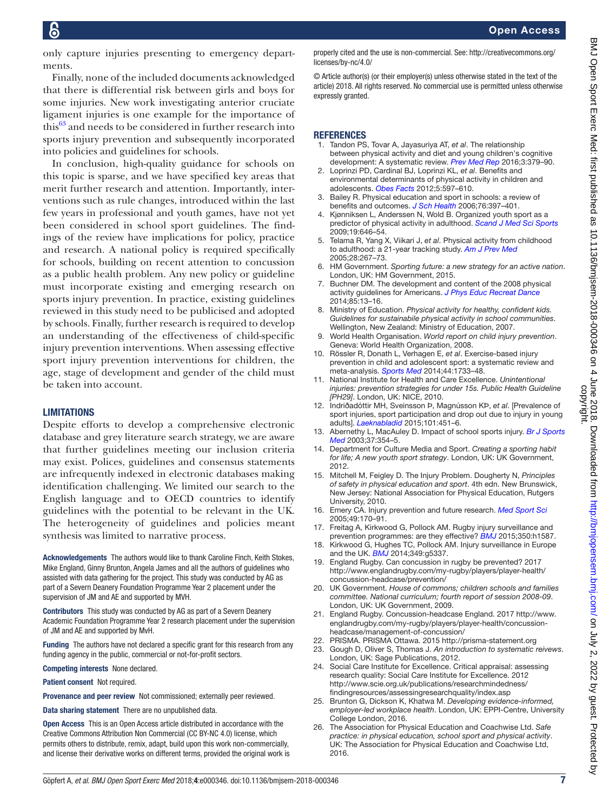only capture injuries presenting to emergency departments.

Finally, none of the included documents acknowledged that there is differential risk between girls and boys for some injuries. New work investigating anterior cruciate ligament injuries is one example for the importance of this<sup>[63](#page-7-25)</sup> and needs to be considered in further research into sports injury prevention and subsequently incorporated into policies and guidelines for schools.

In conclusion, high-quality guidance for schools on this topic is sparse, and we have specified key areas that merit further research and attention. Importantly, interventions such as rule changes, introduced within the last few years in professional and youth games, have not yet been considered in school sport guidelines. The findings of the review have implications for policy, practice and research. A national policy is required specifically for schools, building on recent attention to concussion as a public health problem. Any new policy or guideline must incorporate existing and emerging research on sports injury prevention. In practice, existing guidelines reviewed in this study need to be publicised and adopted by schools. Finally, further research is required to develop an understanding of the effectiveness of child-specific injury prevention interventions. When assessing effective sport injury prevention interventions for children, the age, stage of development and gender of the child must be taken into account.

## **LIMITATIONS**

Despite efforts to develop a comprehensive electronic database and grey literature search strategy, we are aware that further guidelines meeting our inclusion criteria may exist. Polices, guidelines and consensus statements are infrequently indexed in electronic databases making identification challenging. We limited our search to the English language and to OECD countries to identify guidelines with the potential to be relevant in the UK. The heterogeneity of guidelines and policies meant synthesis was limited to narrative process.

Acknowledgements The authors would like to thank Caroline Finch, Keith Stokes, Mike England, Ginny Brunton, Angela James and all the authors of guidelines who assisted with data gathering for the project. This study was conducted by AG as part of a Severn Deanery Foundation Programme Year 2 placement under the supervision of JM and AE and supported by MVH.

Contributors This study was conducted by AG as part of a Severn Deanery Academic Foundation Programme Year 2 research placement under the supervision of JM and AE and supported by MvH.

Funding The authors have not declared a specific grant for this research from any funding agency in the public, commercial or not-for-profit sectors.

Competing interests None declared.

Patient consent Not required.

Provenance and peer review Not commissioned; externally peer reviewed.

Data sharing statement There are no unpublished data.

Open Access This is an Open Access article distributed in accordance with the Creative Commons Attribution Non Commercial (CC BY-NC 4.0) license, which permits others to distribute, remix, adapt, build upon this work non-commercially, and license their derivative works on different terms, provided the original work is properly cited and the use is non-commercial. See: [http://creativecommons.org/](http://creativecommons.org/licenses/by-nc/4.0/) [licenses/by-nc/4.0/](http://creativecommons.org/licenses/by-nc/4.0/)

© Article author(s) (or their employer(s) unless otherwise stated in the text of the article) 2018. All rights reserved. No commercial use is permitted unless otherwise expressly granted.

#### **REFERENCES**

- <span id="page-6-0"></span>1. Tandon PS, Tovar A, Jayasuriya AT, *et al*. The relationship between physical activity and diet and young children's cognitive development: A systematic review. *[Prev Med Rep](http://dx.doi.org/10.1016/j.pmedr.2016.04.003)* 2016;3:379–90.
- 2. Loprinzi PD, Cardinal BJ, Loprinzi KL, *et al*. Benefits and environmental determinants of physical activity in children and adolescents. *[Obes Facts](http://dx.doi.org/10.1159/000342684)* 2012;5:597–610.
- 3. Bailey R. Physical education and sport in schools: a review of benefits and outcomes. *[J Sch Health](http://dx.doi.org/10.1111/j.1746-1561.2006.00132.x)* 2006;76:397–401.
- <span id="page-6-1"></span>4. Kjønniksen L, Anderssen N, Wold B. Organized youth sport as a predictor of physical activity in adulthood. *[Scand J Med Sci Sports](http://dx.doi.org/10.1111/j.1600-0838.2008.00850.x)* 2009;19:646–54.
- 5. Telama R, Yang X, Viikari J, *et al*. Physical activity from childhood to adulthood: a 21-year tracking study. *[Am J Prev Med](http://dx.doi.org/10.1016/j.amepre.2004.12.003)* 2005;28:267–73.
- <span id="page-6-2"></span>6. HM Government. *Sporting future: a new strategy for an active nation*. London, UK: HM Government, 2015.
- 7. Buchner DM. The development and content of the 2008 physical activity guidelines for Americans. *[J Phys Educ Recreat Dance](http://dx.doi.org/10.1080/07303084.2014.937176)* 2014;85:13–16.
- 8. Ministry of Education. *Physical activity for healthy, confident kids. Guidelines for sustainabile physical activity in school communities*. Wellington, New Zealand: Ministry of Education, 2007.
- <span id="page-6-3"></span>9. World Health Organisation. *World report on child injury prevention*. Geneva: World Health Organization, 2008.
- <span id="page-6-11"></span>10. Rössler R, Donath L, Verhagen E, *et al*. Exercise-based injury prevention in child and adolescent sport: a systematic review and meta-analysis. *[Sports Med](http://dx.doi.org/10.1007/s40279-014-0234-2)* 2014;44:1733–48.
- <span id="page-6-4"></span>11. National Institute for Health and Care Excellence. *Unintentional injuries: prevention strategies for under 15s. Public Health Guideline [PH29]*. London, UK: NICE, 2010.
- <span id="page-6-5"></span>12. Indriðadóttir MH, Sveinsson Þ, Magnússon KÞ, *et al*. [Prevalence of sport injuries, sport participation and drop out due to injury in young adults]. *[Laeknabladid](http://www.ncbi.nlm.nih.gov/pubmed/26444230)* 2015;101:451–6.
- 13. Abernethy L, MacAuley D. Impact of school sports injury. *[Br J Sports](http://dx.doi.org/10.1136/bjsm.37.4.354)  [Med](http://dx.doi.org/10.1136/bjsm.37.4.354)* 2003;37:354–5.
- <span id="page-6-6"></span>14. Department for Culture Media and Sport. *Creating a sporting habit for life; A new youth sport strategy*. London, UK: UK Government, 2012.
- <span id="page-6-7"></span>15. Mitchell M, Feigley D. The Injury Problem. Dougherty N, *Principles of safety in physical education and sport*. 4th edn. New Brunswick, New Jersey: National Association for Physical Education, Rutgers University, 2010.
- <span id="page-6-8"></span>16. Emery CA. Injury prevention and future research. *[Med Sport Sci](http://dx.doi.org/10.1159/000085396)* 2005;49:170–91.
- <span id="page-6-9"></span>17. Freitag A, Kirkwood G, Pollock AM. Rugby injury surveillance and prevention programmes: are they effective? *[BMJ](http://dx.doi.org/10.1136/bmj.h1587)* 2015;350:h1587.
- 18. Kirkwood G, Hughes TC, Pollock AM. Injury surveillance in Europe and the UK. *[BMJ](http://dx.doi.org/10.1136/bmj.g5337)* 2014;349:g5337.
- <span id="page-6-10"></span>19. England Rugby. Can concussion in rugby be prevented? 2017 [http://www.englandrugby.com/my-rugby/players/player-health/](http://www.englandrugby.com/my-rugby/players/player-health/concussion-headcase/prevention/) [concussion-headcase/prevention/](http://www.englandrugby.com/my-rugby/players/player-health/concussion-headcase/prevention/)
- <span id="page-6-12"></span>20. UK Government. *House of commons; children schools and families committee. National curriculum; fourth report of session 2008-09*. London, UK: UK Government, 2009.
- <span id="page-6-13"></span>21. England Rugby. Concussion-headcase England. 2017 [http://www.](http://www.englandrugby.com/my-rugby/players/player-health/concussion-headcase/management-of-concussion/) [englandrugby.com/my-rugby/players/player-health/concussion](http://www.englandrugby.com/my-rugby/players/player-health/concussion-headcase/management-of-concussion/)[headcase/management-of-concussion/](http://www.englandrugby.com/my-rugby/players/player-health/concussion-headcase/management-of-concussion/)
- <span id="page-6-14"></span>22. PRISMA. PRISMA Ottawa. 2015 <http://prisma-statement.org>
- <span id="page-6-15"></span>23. Gough D, Oliver S, Thomas J. *An introduction to systematic reivews*. London, UK: Sage Publications, 2012.
- 24. Social Care Institute for Excellence. Critical appraisal: assessing research quality: Social Care Institute for Excellence. 2012 [http://www.scie.org.uk/publications/researchmindedness/](http://www.scie.org.uk/publications/researchmindedness/findingresources/assessingresearchquality/index.asp) [findingresources/assessingresearchquality/index.asp](http://www.scie.org.uk/publications/researchmindedness/findingresources/assessingresearchquality/index.asp)
- <span id="page-6-16"></span>25. Brunton G, Dickson K, Khatwa M. *Developing evidence-informed, employer-led workplace health*. London, UK: EPPI-Centre, University College London, 2016.
- <span id="page-6-17"></span>26. The Association for Physical Education and Coachwise Ltd. *Safe practice: in physical education, school sport and physical activity*. UK: The Association for Physical Education and Coachwise Ltd, 2016.